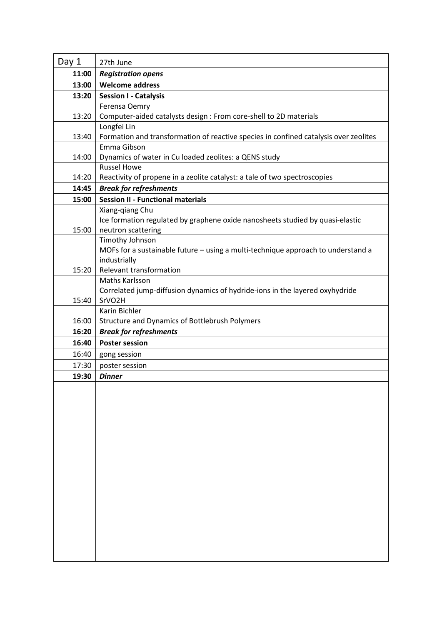| Day 1          | 27th June                                                                            |
|----------------|--------------------------------------------------------------------------------------|
| 11:00          | <b>Registration opens</b>                                                            |
| 13:00          | <b>Welcome address</b>                                                               |
| 13:20          | <b>Session I - Catalysis</b>                                                         |
|                | Ferensa Oemry                                                                        |
| 13:20          | Computer-aided catalysts design : From core-shell to 2D materials                    |
|                | Longfei Lin                                                                          |
| 13:40          | Formation and transformation of reactive species in confined catalysis over zeolites |
|                | Emma Gibson                                                                          |
| 14:00          | Dynamics of water in Cu loaded zeolites: a QENS study                                |
|                | <b>Russel Howe</b>                                                                   |
| 14:20          | Reactivity of propene in a zeolite catalyst: a tale of two spectroscopies            |
| 14:45          | <b>Break for refreshments</b>                                                        |
| 15:00          | <b>Session II - Functional materials</b>                                             |
|                | Xiang-qiang Chu                                                                      |
|                | Ice formation regulated by graphene oxide nanosheets studied by quasi-elastic        |
| 15:00          | neutron scattering                                                                   |
|                | Timothy Johnson                                                                      |
|                | MOFs for a sustainable future - using a multi-technique approach to understand a     |
|                | industrially                                                                         |
| 15:20          | Relevant transformation                                                              |
|                | Maths Karlsson                                                                       |
|                | Correlated jump-diffusion dynamics of hydride-ions in the layered oxyhydride         |
| 15:40          | SrVO <sub>2</sub> H                                                                  |
|                | Karin Bichler                                                                        |
| 16:00<br>16:20 | <b>Structure and Dynamics of Bottlebrush Polymers</b>                                |
|                | <b>Break for refreshments</b>                                                        |
| 16:40          | <b>Poster session</b>                                                                |
| 16:40          | gong session                                                                         |
| 17:30          | poster session                                                                       |
| 19:30          | <b>Dinner</b>                                                                        |
|                |                                                                                      |
|                |                                                                                      |
|                |                                                                                      |
|                |                                                                                      |
|                |                                                                                      |
|                |                                                                                      |
|                |                                                                                      |
|                |                                                                                      |
|                |                                                                                      |
|                |                                                                                      |
|                |                                                                                      |
|                |                                                                                      |
|                |                                                                                      |
|                |                                                                                      |
|                |                                                                                      |
|                |                                                                                      |